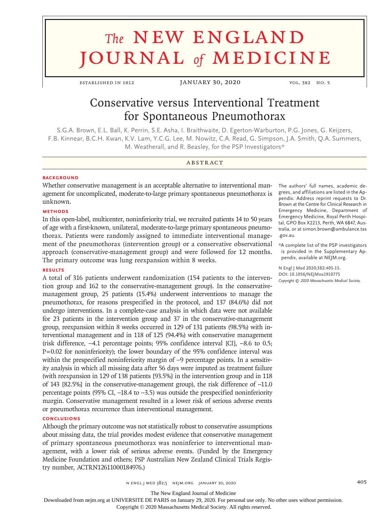# **The NEW ENGLAND** journal *of* medicine

ESTABLISHED IN 1812 JANUARY 30, 2020 VOL. 382 NO. 5

## Conservative versus Interventional Treatment for Spontaneous Pneumothorax

S.G.A. Brown, E.L. Ball, K. Perrin, S.E. Asha, I. Braithwaite, D. Egerton‑Warburton, P.G. Jones, G. Keijzers, F.B. Kinnear, B.C.H. Kwan, K.V. Lam, Y.C.G. Lee, M. Nowitz, C.A. Read, G. Simpson, J.A. Smith, Q.A. Summers, M. Weatherall, and R. Beasley, for the PSP Investigators\*

### **ABSTRACT**

#### **BACKGROUND**

Whether conservative management is an acceptable alternative to interventional management for uncomplicated, moderate-to-large primary spontaneous pneumothorax is unknown.

#### **METHODS**

In this open-label, multicenter, noninferiority trial, we recruited patients 14 to 50 years of age with a first-known, unilateral, moderate-to-large primary spontaneous pneumothorax. Patients were randomly assigned to immediate interventional management of the pneumothorax (intervention group) or a conservative observational approach (conservative-management group) and were followed for 12 months. The primary outcome was lung reexpansion within 8 weeks.

#### **RESULTS**

A total of 316 patients underwent randomization (154 patients to the intervention group and 162 to the conservative-management group). In the conservativemanagement group, 25 patients (15.4%) underwent interventions to manage the pneumothorax, for reasons prespecified in the protocol, and 137 (84.6%) did not undergo interventions. In a complete-case analysis in which data were not available for 23 patients in the intervention group and 37 in the conservative-management group, reexpansion within 8 weeks occurred in 129 of 131 patients (98.5%) with interventional management and in 118 of 125 (94.4%) with conservative management (risk difference, −4.1 percentage points; 95% confidence interval [CI], −8.6 to 0.5; P=0.02 for noninferiority); the lower boundary of the 95% confidence interval was within the prespecified noninferiority margin of -9 percentage points. In a sensitivity analysis in which all missing data after 56 days were imputed as treatment failure (with reexpansion in 129 of 138 patients [93.5%] in the intervention group and in 118 of 143 [82.5%] in the conservative-management group), the risk difference of −11.0 percentage points (95% CI, −18.4 to −3.5) was outside the prespecified noninferiority margin. Conservative management resulted in a lower risk of serious adverse events or pneumothorax recurrence than interventional management.

#### **CONCLUSIONS**

Although the primary outcome was not statistically robust to conservative assumptions about missing data, the trial provides modest evidence that conservative management of primary spontaneous pneumothorax was noninferior to interventional management, with a lower risk of serious adverse events. (Funded by the Emergency Medicine Foundation and others; PSP Australian New Zealand Clinical Trials Registry number, ACTRN12611000184976.)

The authors' full names, academic degrees, and affiliations are listed in the Ap‑ pendix. Address reprint requests to Dr. Brown at the Centre for Clinical Research in Emergency Medicine, Department of Emergency Medicine, Royal Perth Hospi‑ tal, GPO Box X2213, Perth, WA 6847, Australia, or at simon.brown@ambulance.tas .gov.au.

\*A complete list of the PSP investigators is provided in the Supplementary Appendix, available at NEJM.org.

**N Engl J Med 2020;382:405-15. DOI: 10.1056/NEJMoa1910775** *Copyright © 2020 Massachusetts Medical Society.*

n engl j med 382;5 nejm.org January 30, 2020 405

The New England Journal of Medicine

Downloaded from nejm.org at UNIVERSITE DE PARIS on January 29, 2020. For personal use only. No other uses without permission.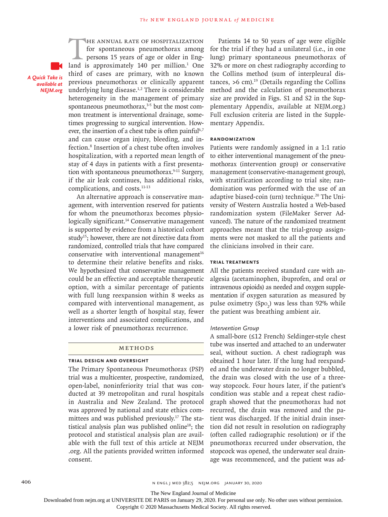*A Quick Take is available at NEJM.org*

THE ANNUAL RATE OF HOSPITALIZATION<br>for spontaneous pneumothorax among<br>persons 15 years of age or older in Eng-<br>land is approximately 140 per million.<sup>1</sup> One for spontaneous pneumothorax among persons 15 years of age or older in England is approximately 140 per million.<sup>1</sup> One third of cases are primary, with no known previous pneumothorax or clinically apparent underlying lung disease.1,2 There is considerable heterogeneity in the management of primary spontaneous pneumothorax, $3-5$  but the most common treatment is interventional drainage, sometimes progressing to surgical intervention. However, the insertion of a chest tube is often painful<sup>6,7</sup> and can cause organ injury, bleeding, and infection.8 Insertion of a chest tube often involves hospitalization, with a reported mean length of stay of 4 days in patients with a first presentation with spontaneous pneumothorax.9-11 Surgery, if the air leak continues, has additional risks, complications, and costs.<sup>11-13</sup>

An alternative approach is conservative management, with intervention reserved for patients for whom the pneumothorax becomes physiologically significant.<sup>14</sup> Conservative management is supported by evidence from a historical cohort study<sup>15</sup>; however, there are not directive data from randomized, controlled trials that have compared conservative with interventional management $16$ to determine their relative benefits and risks. We hypothesized that conservative management could be an effective and acceptable therapeutic option, with a similar percentage of patients with full lung reexpansion within 8 weeks as compared with interventional management, as well as a shorter length of hospital stay, fewer interventions and associated complications, and a lower risk of pneumothorax recurrence.

#### Methods

#### **Trial Design and Oversight**

The Primary Spontaneous Pneumothorax (PSP) trial was a multicenter, prospective, randomized, open-label, noninferiority trial that was conducted at 39 metropolitan and rural hospitals in Australia and New Zealand. The protocol was approved by national and state ethics committees and was published previously.17 The statistical analysis plan was published online<sup>18</sup>; the protocol and statistical analysis plan are available with the full text of this article at NEJM .org. All the patients provided written informed consent.

Patients 14 to 50 years of age were eligible for the trial if they had a unilateral (i.e., in one lung) primary spontaneous pneumothorax of 32% or more on chest radiography according to the Collins method (sum of interpleural distances,  $>6$  cm).<sup>19</sup> (Details regarding the Collins method and the calculation of pneumothorax size are provided in Figs. S1 and S2 in the Supplementary Appendix, available at NEJM.org.) Full exclusion criteria are listed in the Supplementary Appendix.

#### **Randomization**

Patients were randomly assigned in a 1:1 ratio to either interventional management of the pneumothorax (intervention group) or conservative management (conservative-management group), with stratification according to trial site; randomization was performed with the use of an adaptive biased-coin (urn) technique.<sup>20</sup> The University of Western Australia hosted a Web-based randomization system (FileMaker Server Advanced). The nature of the randomized treatment approaches meant that the trial-group assignments were not masked to all the patients and the clinicians involved in their care.

#### **Trial Treatments**

All the patients received standard care with analgesia (acetaminophen, ibuprofen, and oral or intravenous opioids) as needed and oxygen supplementation if oxygen saturation as measured by pulse oximetry  $(Spo<sub>2</sub>)$  was less than 92% while the patient was breathing ambient air.

#### *Intervention Group*

A small-bore (≤12 French) Seldinger-style chest tube was inserted and attached to an underwater seal, without suction. A chest radiograph was obtained 1 hour later. If the lung had reexpanded and the underwater drain no longer bubbled, the drain was closed with the use of a threeway stopcock. Four hours later, if the patient's condition was stable and a repeat chest radiograph showed that the pneumothorax had not recurred, the drain was removed and the patient was discharged. If the initial drain insertion did not result in resolution on radiography (often called radiographic resolution) or if the pneumothorax recurred under observation, the stopcock was opened, the underwater seal drainage was recommenced, and the patient was ad-

The New England Journal of Medicine

Downloaded from nejm.org at UNIVERSITE DE PARIS on January 29, 2020. For personal use only. No other uses without permission.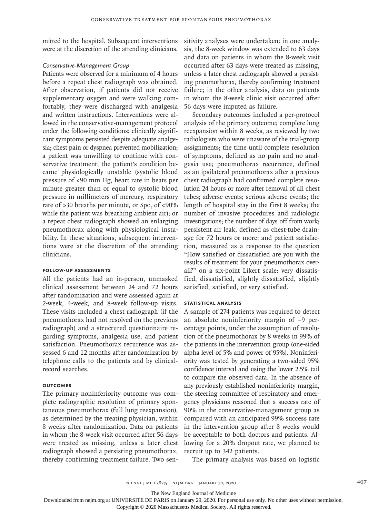mitted to the hospital. Subsequent interventions were at the discretion of the attending clinicians.

#### *Conservative-Management Group*

Patients were observed for a minimum of 4 hours before a repeat chest radiograph was obtained. After observation, if patients did not receive supplementary oxygen and were walking comfortably, they were discharged with analgesia and written instructions. Interventions were allowed in the conservative-management protocol under the following conditions: clinically significant symptoms persisted despite adequate analgesia; chest pain or dyspnea prevented mobilization; a patient was unwilling to continue with conservative treatment; the patient's condition became physiologically unstable (systolic blood pressure of <90 mm Hg, heart rate in beats per minute greater than or equal to systolic blood pressure in millimeters of mercury, respiratory rate of >30 breaths per minute, or  $Spo_2$  of <90% while the patient was breathing ambient air); or a repeat chest radiograph showed an enlarging pneumothorax along with physiological instability. In these situations, subsequent interventions were at the discretion of the attending clinicians.

#### **Follow-up Assessments**

All the patients had an in-person, unmasked clinical assessment between 24 and 72 hours after randomization and were assessed again at 2-week, 4-week, and 8-week follow-up visits. These visits included a chest radiograph (if the pneumothorax had not resolved on the previous radiograph) and a structured questionnaire regarding symptoms, analgesia use, and patient satisfaction. Pneumothorax recurrence was assessed 6 and 12 months after randomization by telephone calls to the patients and by clinicalrecord searches.

#### **Outcomes**

The primary noninferiority outcome was complete radiographic resolution of primary spontaneous pneumothorax (full lung reexpansion), as determined by the treating physician, within 8 weeks after randomization. Data on patients in whom the 8-week visit occurred after 56 days were treated as missing, unless a later chest radiograph showed a persisting pneumothorax, thereby confirming treatment failure. Two sensitivity analyses were undertaken: in one analysis, the 8-week window was extended to 63 days and data on patients in whom the 8-week visit occurred after 63 days were treated as missing, unless a later chest radiograph showed a persisting pneumothorax, thereby confirming treatment failure; in the other analysis, data on patients in whom the 8-week clinic visit occurred after 56 days were imputed as failure.

Secondary outcomes included a per-protocol analysis of the primary outcome; complete lung reexpansion within 8 weeks, as reviewed by two radiologists who were unaware of the trial-group assignments; the time until complete resolution of symptoms, defined as no pain and no analgesia use; pneumothorax recurrence, defined as an ipsilateral pneumothorax after a previous chest radiograph had confirmed complete resolution 24 hours or more after removal of all chest tubes; adverse events; serious adverse events; the length of hospital stay in the first 8 weeks; the number of invasive procedures and radiologic investigations; the number of days off from work; persistent air leak, defined as chest-tube drainage for 72 hours or more; and patient satisfaction, measured as a response to the question "How satisfied or dissatisfied are you with the results of treatment for your pneumothorax overall?" on a six-point Likert scale: very dissatisfied, dissatisfied, slightly dissatisfied, slightly satisfied, satisfied, or very satisfied.

#### **Statistical Analysis**

A sample of 274 patients was required to detect an absolute noninferiority margin of −9 percentage points, under the assumption of resolution of the pneumothorax by 8 weeks in 99% of the patients in the intervention group (one-sided alpha level of 5% and power of 95%). Noninferiority was tested by generating a two-sided 95% confidence interval and using the lower 2.5% tail to compare the observed data. In the absence of any previously established noninferiority margin, the steering committee of respiratory and emergency physicians reasoned that a success rate of 90% in the conservative-management group as compared with an anticipated 99% success rate in the intervention group after 8 weeks would be acceptable to both doctors and patients. Allowing for a 20% dropout rate, we planned to recruit up to 342 patients.

The primary analysis was based on logistic

The New England Journal of Medicine

Downloaded from nejm.org at UNIVERSITE DE PARIS on January 29, 2020. For personal use only. No other uses without permission.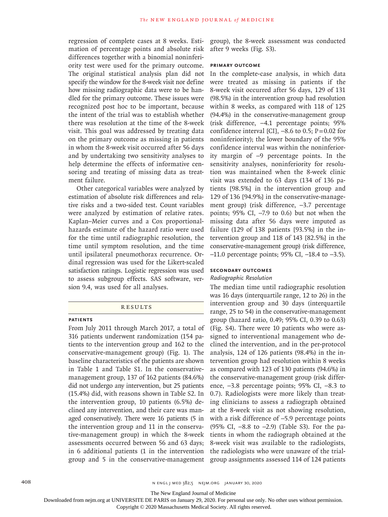regression of complete cases at 8 weeks. Estimation of percentage points and absolute risk differences together with a binomial noninferiority test were used for the primary outcome. The original statistical analysis plan did not specify the window for the 8-week visit nor define how missing radiographic data were to be handled for the primary outcome. These issues were recognized post hoc to be important, because the intent of the trial was to establish whether there was resolution at the time of the 8-week visit. This goal was addressed by treating data on the primary outcome as missing in patients in whom the 8-week visit occurred after 56 days and by undertaking two sensitivity analyses to help determine the effects of informative censoring and treating of missing data as treatment failure.

Other categorical variables were analyzed by estimation of absolute risk differences and relative risks and a two-sided test. Count variables were analyzed by estimation of relative rates. Kaplan–Meier curves and a Cox proportionalhazards estimate of the hazard ratio were used for the time until radiographic resolution, the time until symptom resolution, and the time until ipsilateral pneumothorax recurrence. Ordinal regression was used for the Likert-scaled satisfaction ratings. Logistic regression was used to assess subgroup effects. SAS software, version 9.4, was used for all analyses.

#### **RESULTS**

#### **Patients**

From July 2011 through March 2017, a total of 316 patients underwent randomization (154 patients to the intervention group and 162 to the conservative-management group) (Fig. 1). The baseline characteristics of the patients are shown in Table 1 and Table S1. In the conservativemanagement group, 137 of 162 patients (84.6%) did not undergo any intervention, but 25 patients (15.4%) did, with reasons shown in Table S2. In the intervention group, 10 patients (6.5%) declined any intervention, and their care was managed conservatively. There were 16 patients (5 in the intervention group and 11 in the conservative-management group) in which the 8-week assessments occurred between 56 and 63 days; in 6 additional patients (1 in the intervention group and 5 in the conservative-management

group), the 8-week assessment was conducted after 9 weeks (Fig. S3).

#### **Primary Outcome**

In the complete-case analysis, in which data were treated as missing in patients if the 8-week visit occurred after 56 days, 129 of 131 (98.5%) in the intervention group had resolution within 8 weeks, as compared with 118 of 125 (94.4%) in the conservative-management group (risk difference, −4.1 percentage points; 95% confidence interval [CI],  $-8.6$  to 0.5; P=0.02 for noninferiority); the lower boundary of the 95% confidence interval was within the noninferiority margin of −9 percentage points. In the sensitivity analyses, noninferiority for resolution was maintained when the 8-week clinic visit was extended to 63 days (134 of 136 patients [98.5%] in the intervention group and 129 of 136 [94.9%] in the conservative-management group) (risk difference, −3.7 percentage points; 95% CI, −7.9 to 0.6) but not when the missing data after 56 days were imputed as failure (129 of 138 patients [93.5%] in the intervention group and 118 of 143 [82.5%] in the conservative-management group) (risk difference, −11.0 percentage points; 95% CI, −18.4 to −3.5).

#### **Secondary Outcomes**

#### *Radiographic Resolution*

The median time until radiographic resolution was 16 days (interquartile range, 12 to 26) in the intervention group and 30 days (interquartile range, 25 to 54) in the conservative-management group (hazard ratio, 0.49; 95% CI, 0.39 to 0.63) (Fig. S4). There were 10 patients who were assigned to interventional management who declined the intervention, and in the per-protocol analysis, 124 of 126 patients (98.4%) in the intervention group had resolution within 8 weeks as compared with 123 of 130 patients (94.6%) in the conservative-management group (risk difference, −3.8 percentage points; 95% CI, −8.3 to 0.7). Radiologists were more likely than treating clinicians to assess a radiograph obtained at the 8-week visit as not showing resolution, with a risk difference of −5.9 percentage points (95% CI, −8.8 to −2.9) (Table S3). For the patients in whom the radiograph obtained at the 8-week visit was available to the radiologists, the radiologists who were unaware of the trialgroup assignments assessed 114 of 124 patients

The New England Journal of Medicine

Downloaded from nejm.org at UNIVERSITE DE PARIS on January 29, 2020. For personal use only. No other uses without permission.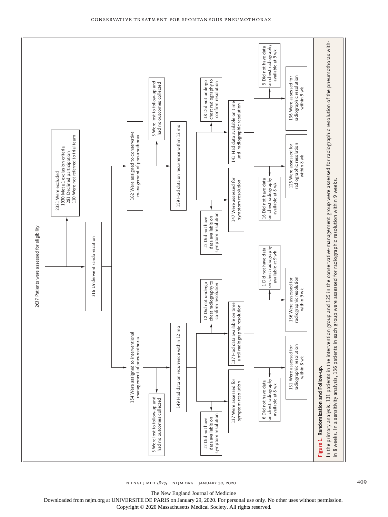

n engl j med 382;5 nejm.org January 30, 2020 409

The New England Journal of Medicine Downloaded from nejm.org at UNIVERSITE DE PARIS on January 29, 2020. For personal use only. No other uses without permission.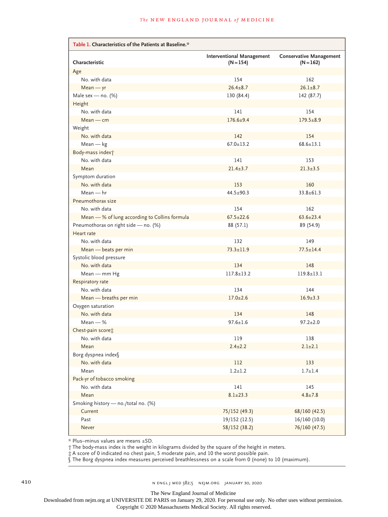| Table 1. Characteristics of the Patients at Baseline.* |                                                 |                                               |  |  |  |
|--------------------------------------------------------|-------------------------------------------------|-----------------------------------------------|--|--|--|
| Characteristic                                         | <b>Interventional Management</b><br>$(N = 154)$ | <b>Conservative Management</b><br>$(N = 162)$ |  |  |  |
| Age                                                    |                                                 |                                               |  |  |  |
| No. with data                                          | 154                                             | 162                                           |  |  |  |
| $Mean - yr$                                            | $26.4 \pm 8.7$                                  | $26.1 + 8.7$                                  |  |  |  |
| Male sex - no. $(\%)$                                  | 130 (84.4)                                      | 142 (87.7)                                    |  |  |  |
| Height                                                 |                                                 |                                               |  |  |  |
| No. with data                                          | 141                                             | 154                                           |  |  |  |
| $Mean$ – $cm$                                          | $176.6 \pm 9.4$                                 | $179.5 \pm 8.9$                               |  |  |  |
| Weight                                                 |                                                 |                                               |  |  |  |
| No. with data                                          | 142                                             | 154                                           |  |  |  |
| $Mean - kg$                                            | $67.0 \pm 13.2$                                 | $68.6 \pm 13.1$                               |  |  |  |
| Body-mass index <sup>+</sup>                           |                                                 |                                               |  |  |  |
| No. with data                                          | 141                                             | 153                                           |  |  |  |
| Mean                                                   | $21.4 \pm 3.7$                                  | $21.3 \pm 3.5$                                |  |  |  |
| Symptom duration                                       |                                                 |                                               |  |  |  |
| No. with data                                          | 153                                             | 160                                           |  |  |  |
| $Mean - hr$                                            | $44.5 \pm 90.3$                                 | $33.8 \pm 61.3$                               |  |  |  |
| Pneumothorax size                                      |                                                 |                                               |  |  |  |
| No. with data                                          | 154                                             | 162                                           |  |  |  |
| Mean - % of lung according to Collins formula          | $67.5 \pm 22.6$                                 | $63.6 \pm 23.4$                               |  |  |  |
| Pneumothorax on right side - no. (%)                   | 88 (57.1)                                       | 89 (54.9)                                     |  |  |  |
| Heart rate                                             |                                                 |                                               |  |  |  |
| No. with data                                          | 132                                             | 149                                           |  |  |  |
| Mean - beats per min                                   | $73.3 \pm 11.9$                                 | $77.5 \pm 14.4$                               |  |  |  |
| Systolic blood pressure                                |                                                 |                                               |  |  |  |
| No. with data                                          | 134                                             | 148                                           |  |  |  |
| Mean - mm Hg                                           | $117.8 \pm 13.2$                                | $119.8 \pm 13.1$                              |  |  |  |
| Respiratory rate                                       |                                                 |                                               |  |  |  |
| No. with data                                          | 134                                             | 144                                           |  |  |  |
| Mean - breaths per min                                 | $17.0 \pm 2.6$                                  | $16.9 \pm 3.3$                                |  |  |  |
| Oxygen saturation                                      |                                                 |                                               |  |  |  |
| No. with data                                          | 134                                             | 148                                           |  |  |  |
| $Mean - %$                                             | $97.6 \pm 1.6$                                  | $97.2 \pm 2.0$                                |  |  |  |
| Chest-pain score;                                      |                                                 |                                               |  |  |  |
| No. with data                                          | 119                                             | 138                                           |  |  |  |
| Mean                                                   | $2.4 \pm 2.2$                                   | $2.1 \pm 2.1$                                 |  |  |  |
| Borg dyspnea index§                                    |                                                 |                                               |  |  |  |
| No. with data                                          | $112\,$                                         | 133                                           |  |  |  |
| Mean                                                   | $1.2 + 1.2$                                     | $1.7 + 1.4$                                   |  |  |  |
| Pack-yr of tobacco smoking                             |                                                 |                                               |  |  |  |
| No. with data                                          | 141                                             | 145                                           |  |  |  |
| Mean                                                   | $8.1 \pm 23.3$                                  | $4.8 \pm 7.8$                                 |  |  |  |
| Smoking history - no./total no. (%)                    |                                                 |                                               |  |  |  |
| Current                                                | 75/152 (49.3)                                   | 68/160 (42.5)                                 |  |  |  |
| Past                                                   | 19/152 (12.5)                                   | 16/160 (10.0)                                 |  |  |  |
| Never                                                  | 58/152 (38.2)                                   | 76/160 (47.5)                                 |  |  |  |

\* Plus–minus values are means ±SD.

† The body-mass index is the weight in kilograms divided by the square of the height in meters.

‡ A score of 0 indicated no chest pain, 5 moderate pain, and 10 the worst possible pain.

§ The Borg dyspnea index measures perceived breathlessness on a scale from 0 (none) to 10 (maximum).

410 **n ENGL J MED 382;5 NEJM.ORG JANUARY 30, 2020** 

The New England Journal of Medicine

Downloaded from nejm.org at UNIVERSITE DE PARIS on January 29, 2020. For personal use only. No other uses without permission.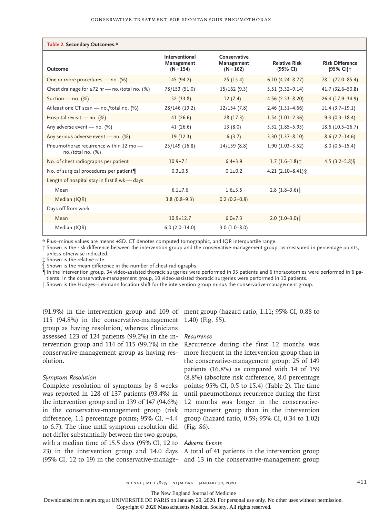| Table 2. Secondary Outcomes.*                                 |                                             |                                           |                                  |                                                 |  |
|---------------------------------------------------------------|---------------------------------------------|-------------------------------------------|----------------------------------|-------------------------------------------------|--|
| Outcome                                                       | Interventional<br>Management<br>$(N = 154)$ | Conservative<br>Management<br>$(N = 162)$ | <b>Relative Risk</b><br>(95% CI) | <b>Risk Difference</b><br>(95% CI) <sup>+</sup> |  |
| One or more procedures - no. (%)                              | 145 (94.2)                                  | 25(15.4)                                  | $6.10(4.24 - 8.77)$              | 78.1 (72.0-85.4)                                |  |
| Chest drainage for $\geq$ 72 hr — no./total no. (%)           | 78/153 (51.0)                               | 15/162(9.3)                               | $5.51(3.32 - 9.14)$              | 41.7 (32.6-50.8)                                |  |
| Suction - no. $(\%)$                                          | 52 (33.8)                                   | 12(7.4)                                   | $4.56(2.53 - 8.20)$              | 26.4 (17.9-34.9)                                |  |
| At least one CT scan - no./total no. (%)                      | 28/146 (19.2)                               | 12/154(7.8)                               | $2.46(1.31-4.66)$                | $11.4(3.7-19.1)$                                |  |
| Hospital revisit - no. (%)                                    | 41(26.6)                                    | 28(17.3)                                  | $1.54(1.01-2.36)$                | $9.3(0.3-18.4)$                                 |  |
| Any adverse event - no. (%)                                   | 41(26.6)                                    | 13(8.0)                                   | $3.32(1.85 - 5.95)$              | $18.6(10.5-26.7)$                               |  |
| Any serious adverse event - no. (%)                           | 19(12.3)                                    | 6(3.7)                                    | $3.30(1.37 - 8.10)$              | $8.6(2.7-14.6)$                                 |  |
| Pneumothorax recurrence within 12 mo -<br>no./total no. $(%)$ | 25/149(16.8)                                | 14/159(8.8)                               | $1.90(1.03 - 3.52)$              | $8.0(0.5 - 15.4)$                               |  |
| No. of chest radiographs per patient                          | $10.9 + 7.1$                                | $6.4 + 3.9$                               | $1.7(1.6-1.8)$ :                 | 4.5 $(3.2 - 5.8)$                               |  |
| No. of surgical procedures per patient¶                       | $0.3 + 0.5$                                 | $0.1 \pm 0.2$                             | 4.21 $(2.10-8.41)$ :             |                                                 |  |
| Length of hospital stay in first 8 wk - days                  |                                             |                                           |                                  |                                                 |  |
| Mean                                                          | $6.1 \pm 7.6$                               | $1.6 + 3.5$                               | 2.8 $(1.8-3.6)$                  |                                                 |  |
| Median (IQR)                                                  | $3.8(0.8-9.3)$                              | $0.2(0.2-0.8)$                            |                                  |                                                 |  |
| Days off from work                                            |                                             |                                           |                                  |                                                 |  |
| Mean                                                          | $10.9 \pm 12.7$                             | $6.0+7.3$                                 | $2.0$ (1.0-3.0)                  |                                                 |  |
| Median (IQR)                                                  | $6.0(2.0-14.0)$                             | $3.0(1.0 - 8.0)$                          |                                  |                                                 |  |

\* Plus–minus values are means ±SD. CT denotes computed tomographic, and IQR interquartile range.

† Shown is the risk difference between the intervention group and the conservative-management group, as measured in percentage points, unless otherwise indicated.

‡ Shown is the relative rate.

 $\dot{\S}$  Shown is the mean difference in the number of chest radiographs.

¶ In the intervention group, 34 video-assisted thoracic surgeries were performed in 33 patients and 6 thoracotomies were performed in 6 pa‑ tients. In the conservative-management group, 10 video-assisted thoracic surgeries were performed in 10 patients.

‖ Shown is the Hodges–Lehmann location shift for the intervention group minus the conservative-management group.

115 (94.8%) in the conservative-management 1.40) (Fig. S5). group as having resolution, whereas clinicians assessed 123 of 124 patients (99.2%) in the intervention group and 114 of 115 (99.1%) in the conservative-management group as having resolution.

#### *Symptom Resolution*

Complete resolution of symptoms by 8 weeks was reported in 128 of 137 patients (93.4%) in the intervention group and in 139 of 147 (94.6%) in the conservative-management group (risk difference, 1.1 percentage points; 95% CI, −4.4 to 6.7). The time until symptom resolution did (Fig. S6). not differ substantially between the two groups, with a median time of 15.5 days (95% CI, 12 to *Adverse Events* 23) in the intervention group and 14.0 days A total of 41 patients in the intervention group (95% CI, 12 to 19) in the conservative-manage-

(91.9%) in the intervention group and 109 of ment group (hazard ratio, 1.11; 95% CI, 0.88 to

#### *Recurrence*

Recurrence during the first 12 months was more frequent in the intervention group than in the conservative-management group: 25 of 149 patients (16.8%) as compared with 14 of 159 (8.8%) (absolute risk difference, 8.0 percentage points; 95% CI, 0.5 to 15.4) (Table 2). The time until pneumothorax recurrence during the first 12 months was longer in the conservativemanagement group than in the intervention group (hazard ratio, 0.59; 95% CI, 0.34 to 1.02)

and 13 in the conservative-management group

The New England Journal of Medicine

Downloaded from nejm.org at UNIVERSITE DE PARIS on January 29, 2020. For personal use only. No other uses without permission.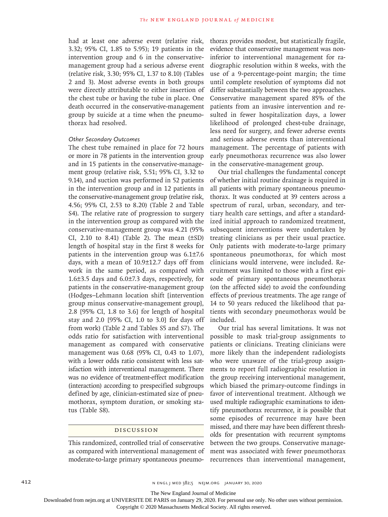had at least one adverse event (relative risk, 3.32; 95% CI, 1.85 to 5.95); 19 patients in the intervention group and 6 in the conservativemanagement group had a serious adverse event (relative risk, 3.30; 95% CI, 1.37 to 8.10) (Tables 2 and 3). Most adverse events in both groups were directly attributable to either insertion of the chest tube or having the tube in place. One death occurred in the conservative-management group by suicide at a time when the pneumothorax had resolved.

#### *Other Secondary Outcomes*

The chest tube remained in place for 72 hours or more in 78 patients in the intervention group and in 15 patients in the conservative-management group (relative risk, 5.51; 95% CI, 3.32 to 9.14), and suction was performed in 52 patients in the intervention group and in 12 patients in the conservative-management group (relative risk, 4.56; 95% CI, 2.53 to 8.20) (Table 2 and Table S4). The relative rate of progression to surgery in the intervention group as compared with the conservative-management group was 4.21 (95% CI, 2.10 to 8.41) (Table 2). The mean  $(\pm SD)$ length of hospital stay in the first 8 weeks for patients in the intervention group was 6.1±7.6 days, with a mean of 10.9±12.7 days off from work in the same period, as compared with 1.6±3.5 days and 6.0±7.3 days, respectively, for patients in the conservative-management group (Hodges–Lehmann location shift [intervention group minus conservative-management group], 2.8 [95% CI, 1.8 to 3.6] for length of hospital stay and 2.0 [95% CI, 1.0 to 3.0] for days off from work) (Table 2 and Tables S5 and S7). The odds ratio for satisfaction with interventional management as compared with conservative management was 0.68 (95% CI, 0.43 to 1.07), with a lower odds ratio consistent with less satisfaction with interventional management. There was no evidence of treatment-effect modification (interaction) according to prespecified subgroups defined by age, clinician-estimated size of pneumothorax, symptom duration, or smoking status (Table S8).

#### Discussion

This randomized, controlled trial of conservative moderate-to-large primary spontaneous pneumothorax provides modest, but statistically fragile, evidence that conservative management was noninferior to interventional management for radiographic resolution within 8 weeks, with the use of a 9-percentage-point margin; the time until complete resolution of symptoms did not differ substantially between the two approaches. Conservative management spared 85% of the patients from an invasive intervention and resulted in fewer hospitalization days, a lower likelihood of prolonged chest-tube drainage, less need for surgery, and fewer adverse events and serious adverse events than interventional management. The percentage of patients with early pneumothorax recurrence was also lower in the conservative-management group.

Our trial challenges the fundamental concept of whether initial routine drainage is required in all patients with primary spontaneous pneumothorax. It was conducted at 39 centers across a spectrum of rural, urban, secondary, and tertiary health care settings, and after a standardized initial approach to randomized treatment, subsequent interventions were undertaken by treating clinicians as per their usual practice. Only patients with moderate-to-large primary spontaneous pneumothorax, for which most clinicians would intervene, were included. Recruitment was limited to those with a first episode of primary spontaneous pneumothorax (on the affected side) to avoid the confounding effects of previous treatments. The age range of 14 to 50 years reduced the likelihood that patients with secondary pneumothorax would be included.

as compared with interventional management of ment was associated with fewer pneumothorax Our trial has several limitations. It was not possible to mask trial-group assignments to patients or clinicians. Treating clinicians were more likely than the independent radiologists who were unaware of the trial-group assignments to report full radiographic resolution in the group receiving interventional management, which biased the primary-outcome findings in favor of interventional treatment. Although we used multiple radiographic examinations to identify pneumothorax recurrence, it is possible that some episodes of recurrence may have been missed, and there may have been different thresholds for presentation with recurrent symptoms between the two groups. Conservative managerecurrences than interventional management,

412 **https://width/2020.org/2020** N ENGL J MED 382;5 NEIM.ORG JANUARY 30, 2020

The New England Journal of Medicine

Downloaded from nejm.org at UNIVERSITE DE PARIS on January 29, 2020. For personal use only. No other uses without permission.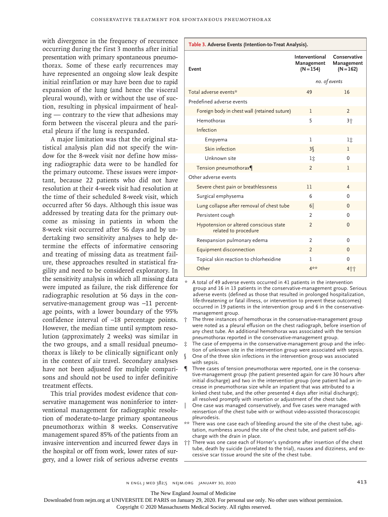with divergence in the frequency of recurrence occurring during the first 3 months after initial presentation with primary spontaneous pneumothorax. Some of these early recurrences may have represented an ongoing slow leak despite initial reinflation or may have been due to rapid expansion of the lung (and hence the visceral pleural wound), with or without the use of suction, resulting in physical impairment of healing — contrary to the view that adhesions may form between the visceral pleura and the parietal pleura if the lung is reexpanded.

A major limitation was that the original statistical analysis plan did not specify the window for the 8-week visit nor define how missing radiographic data were to be handled for the primary outcome. These issues were important, because 22 patients who did not have resolution at their 4-week visit had resolution at the time of their scheduled 8-week visit, which occurred after 56 days. Although this issue was addressed by treating data for the primary outcome as missing in patients in whom the 8-week visit occurred after 56 days and by undertaking two sensitivity analyses to help determine the effects of informative censoring and treating of missing data as treatment failure, these approaches resulted in statistical fragility and need to be considered exploratory. In the sensitivity analysis in which all missing data were imputed as failure, the risk difference for radiographic resolution at 56 days in the conservative-management group was -11 percentage points, with a lower boundary of the 95% confidence interval of −18 percentage points. ↑ However, the median time until symptom resolution (approximately 2 weeks) was similar in the two groups, and a small residual pneumothorax is likely to be clinically significant only in the context of air travel. Secondary analyses have not been adjusted for multiple comparisons and should not be used to infer definitive treatment effects.

This trial provides modest evidence that conservative management was noninferior to interventional management for radiographic resolution of moderate-to-large primary spontaneous pneumothorax within 8 weeks. Conservative management spared 85% of the patients from an invasive intervention and incurred fewer days in the hospital or off from work, lower rates of surgery, and a lower risk of serious adverse events

| Event                                                          | Interventional<br>Management<br>$(N = 154)$ | Conservative<br>Management<br>$(N = 162)$ |
|----------------------------------------------------------------|---------------------------------------------|-------------------------------------------|
|                                                                | no. of events                               |                                           |
| Total adverse events*                                          | 49                                          | 16                                        |
| Predefined adverse events                                      |                                             |                                           |
| Foreign body in chest wall (retained suture)                   | 1                                           | $\overline{2}$                            |
| Hemothorax                                                     | 5                                           | 3个                                        |
| Infection                                                      |                                             |                                           |
| Empyema                                                        | 1                                           | li                                        |
| Skin infection                                                 | 3 <sup>6</sup>                              | 1                                         |
| Unknown site                                                   | lî                                          | $\Omega$                                  |
| Tension pneumothorax¶                                          | $\overline{2}$                              | 1                                         |
| Other adverse events                                           |                                             |                                           |
| Severe chest pain or breathlessness                            | 11                                          | $\overline{4}$                            |
| Surgical emphysema                                             | 6                                           | $\Omega$                                  |
| Lung collapse after removal of chest tube                      | 6                                           | $\mathbf{0}$                              |
| Persistent cough                                               | $\mathfrak{p}$                              | $\Omega$                                  |
| Hypotension or altered conscious state<br>related to procedure | $\overline{2}$                              | $\Omega$                                  |
| Reexpansion pulmonary edema                                    | $\overline{2}$                              | $\Omega$                                  |
| Equipment disconnection                                        | $\mathfrak{p}$                              | $\Omega$                                  |
| Topical skin reaction to chlorhexidine                         | 1                                           | $\mathbf 0$                               |
| Other                                                          | 4**                                         | 4††                                       |

**Table 3. Adverse Events (Intention-to-Treat Analysis).**

A total of 49 adverse events occurred in 41 patients in the intervention group and 16 in 13 patients in the conservative-management group. Serious adverse events (defined as those that resulted in prolonged hospitalization, life-threatening or fatal illness, or intervention to prevent these outcomes) occurred in 19 patients in the intervention group and 6 in the conservativemanagement group.

- The three instances of hemothorax in the conservative-management group were noted as a pleural effusion on the chest radiograph, before insertion of any chest tube. An additional hemothorax was associated with the tension pneumothorax reported in the conservative-management group.
- The case of empyema in the conservative-management group and the infection of unknown site in the intervention group were associated with sepsis.
- One of the three skin infections in the intervention group was associated with sepsis.
- Three cases of tension pneumothorax were reported, one in the conservative-management group (the patient presented again for care 30 hours after initial discharge) and two in the intervention group (one patient had an increase in pneumothorax size while an inpatient that was attributed to a kinked chest tube, and the other presented 4 days after initial discharge); all resolved promptly with insertion or adjustment of the chest tube.
- One case was managed conservatively, and five cases were managed with reinsertion of the chest tube with or without video-assisted thoracoscopic pleurodesis.
- \*\* There was one case each of bleeding around the site of the chest tube, agitation, numbness around the site of the chest tube, and patient self-discharge with the drain in place.
- †† There was one case each of Horner's syndrome after insertion of the chest tube, death by suicide (unrelated to the trial), nausea and dizziness, and excessive scar tissue around the site of the chest tube.

The New England Journal of Medicine

Downloaded from nejm.org at UNIVERSITE DE PARIS on January 29, 2020. For personal use only. No other uses without permission.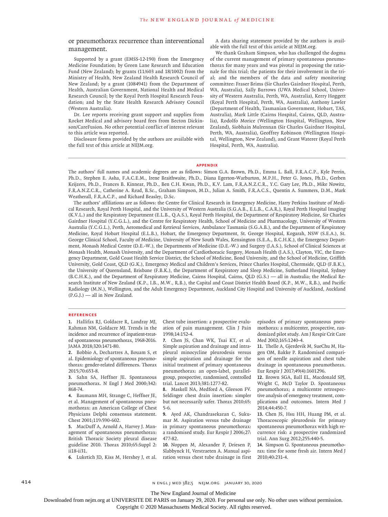#### or pneumothorax recurrence than interventional management.

Supported by a grant (EMSS-12-190) from the Emergency Medicine Foundation; by Green Lane Research and Education Fund (New Zealand); by grants (11/603 and 18/1002) from the Ministry of Health, New Zealand Health Research Council of New Zealand; by a grant (1084941) from the Department of Health, Australian Government, National Health and Medical Research Council; by the Royal Perth Hospital Research Foundation; and by the State Health Research Advisory Council (Western Australia).

Dr. Lee reports receiving grant support and supplies from Rocket Medical and advisory board fees from Becton Dickinson/CareFusion. No other potential conflict of interest relevant to this article was reported.

Disclosure forms provided by the authors are available with the full text of this article at NEJM.org.

A data sharing statement provided by the authors is available with the full text of this article at NEJM.org.

We thank Graham Simpson, who has challenged the dogma of the current management of primary spontaneous pneumothorax for many years and was pivotal in proposing the rationale for this trial; the patients for their involvement in the trial; and the members of the data and safety monitoring committee: Fraser Brims (Sir Charles Gairdner Hospital, Perth, WA, Australia), Sally Burrows (UWA Medical School, University of Western Australia, Perth, WA, Australia), Kerry Hoggett (Royal Perth Hospital, Perth, WA, Australia), Anthony Lawler (Department of Health, Tasmanian Government, Hobart, TAS, Australia), Mark Little (Cairns Hospital, Cairns, QLD, Australia), Rodolfo Morice (Wellington Hospital, Wellington, New Zealand), Siobhain Mulrennan (Sir Charles Gairdner Hospital, Perth, WA, Australia), Geoffrey Robinson (Wellington Hospital, Wellington, New Zealand), and Grant Waterer (Royal Perth Hospital, Perth, WA, Australia).

#### **Appendix**

The authors' full names and academic degrees are as follows: Simon G.A. Brown, Ph.D., Emma L. Ball, F.R.A.C.P., Kyle Perrin, Ph.D., Stephen E. Asha, F.A.C.E.M., Irene Braithwaite, Ph.D., Diana Egerton-Warburton, M.P.H., Peter G. Jones, Ph.D., Gerben Keijzers, Ph.D., Frances B. Kinnear, Ph.D., Ben C.H. Kwan, Ph.D., K.V. Lam, F.R.A.N.Z.C.R., Y.C. Gary Lee, Ph.D., Mike Nowitz, F.R.A.N.Z.C.R., Catherine A. Read, B.Sc., Graham Simpson, M.D., Julian A. Smith, F.R.A.C.S., Quentin A. Summers, D.M., Mark Weatherall, F.R.A.C.P., and Richard Beasley, D.Sc.

The authors' affiliations are as follows: the Centre for Clinical Research in Emergency Medicine, Harry Perkins Institute of Medical Research, Royal Perth Hospital, and the University of Western Australia (S.G.A.B., E.L.B., C.A.R.), Royal Perth Hospital Imaging (K.V.L.) and the Respiratory Department (E.L.B., Q.A.S.), Royal Perth Hospital, the Department of Respiratory Medicine, Sir Charles Gairdner Hospital (Y.C.G.L.), and the Centre for Respiratory Health, School of Medicine and Pharmacology, University of Western Australia (Y.C.G.L.), Perth, Aeromedical and Retrieval Services, Ambulance Tasmania (S.G.A.B.), and the Department of Respiratory Medicine, Royal Hobart Hospital (E.L.B.), Hobart, the Emergency Department, St. George Hospital, Kogarah, NSW (S.E.A.), St. George Clinical School, Faculty of Medicine, University of New South Wales, Kensington (S.E.A., B.C.H.K.), the Emergency Department, Monash Medical Centre (D.E.-W.), the Departments of Medicine (D.E.-W.) and Surgery (J.A.S.), School of Clinical Sciences at Monash Health, Monash University, and the Department of Cardiothoracic Surgery, Monash Health (J.A.S.), Clayton, VIC, the Emergency Department, Gold Coast Health Service District, the School of Medicine, Bond University, and the School of Medicine, Griffith University, Gold Coast, QLD (G.K.), Emergency Medical and Children's Services, Prince Charles Hospital, Chermside, QLD (F.B.K.), the University of Queensland, Brisbane (F.B.K.), the Department of Respiratory and Sleep Medicine, Sutherland Hospital, Sydney (B.C.H.K.), and the Department of Respiratory Medicine, Cairns Hospital, Cairns, QLD (G.S.) — all in Australia; the Medical Research Institute of New Zealand (K.P., I.B., M.W., R.B.), the Capital and Coast District Health Board (K.P., M.W., R.B.), and Pacific Radiology (M.N.), Wellington, and the Adult Emergency Department, Auckland City Hospital and University of Auckland, Auckland (P.G.J.) — all in New Zealand.

#### **References**

**1.** Hallifax RJ, Goldacre R, Landray MJ, Rahman NM, Goldacre MJ. Trends in the incidence and recurrence of inpatient-treated spontaneous pneumothorax, 1968-2016. JAMA 2018;320:1471-80.

**2.** Bobbio A, Dechartres A, Bouam S, et al. Epidemiology of spontaneous pneumothorax: gender-related differences. Thorax 2015;70:653-8.

**3.** Sahn SA, Heffner JE. Spontaneous pneumothorax. N Engl J Med 2000;342: 868-74.

**4.** Baumann MH, Strange C, Heffner JE, et al. Management of spontaneous pneumothorax: an American College of Chest Physicians Delphi consensus statement. Chest 2001;119:590-602.

**5.** MacDuff A, Arnold A, Harvey J. Management of spontaneous pneumothorax: British Thoracic Society pleural disease guideline 2010. Thorax 2010;65:Suppl 2: ii18-ii31.

**6.** Luketich JD, Kiss M, Hershey J, et al.

Chest tube insertion: a prospective evaluation of pain management. Clin J Pain 1998;14:152-4.

**7.** Chen JS, Chan WK, Tsai KT, et al. Simple aspiration and drainage and intrapleural minocycline pleurodesis versus simple aspiration and drainage for the initial treatment of primary spontaneous pneumothorax: an open-label, parallelgroup, prospective, randomised, controlled trial. Lancet 2013;381:1277-82.

**8.** Maskell NA, Medford A, Gleeson FV. Seldinger chest drain insertion: simpler but not necessarily safer. Thorax 2010;65: 5-6.

**9.** Ayed AK, Chandrasekaran C, Sukumar M. Aspiration versus tube drainage in primary spontaneous pneumothorax: a randomised study. Eur Respir J 2006;27: 477-82.

**10.** Noppen M, Alexander P, Driesen P, Slabbynck H, Verstraeten A. Manual aspiration versus chest tube drainage in first episodes of primary spontaneous pneumothorax: a multicenter, prospective, randomized pilot study. Am J Respir Crit Care Med 2002;165:1240-4.

**11.** Thelle A, Gjerdevik M, SueChu M, Hagen OM, Bakke P. Randomised comparison of needle aspiration and chest tube drainage in spontaneous pneumothorax. Eur Respir J 2017;49(4):1601296.

**12.** Brown SGA, Ball EL, Macdonald SPJ, Wright C, McD Taylor D. Spontaneous pneumothorax; a multicentre retrospective analysis of emergency treatment, complications and outcomes. Intern Med J 2014;44:450-7.

**13.** Chen JS, Hsu HH, Huang PM, et al. Thoracoscopic pleurodesis for primary spontaneous pneumothorax with high recurrence risk: a prospective randomized trial. Ann Surg 2012;255:440-5.

**14.** Simpson G. Spontaneous pneumothorax: time for some fresh air. Intern Med J 2010;40:231-4.

414 n engl j med 382;5 nejm.org January 30, 2020

The New England Journal of Medicine

Downloaded from nejm.org at UNIVERSITE DE PARIS on January 29, 2020. For personal use only. No other uses without permission.